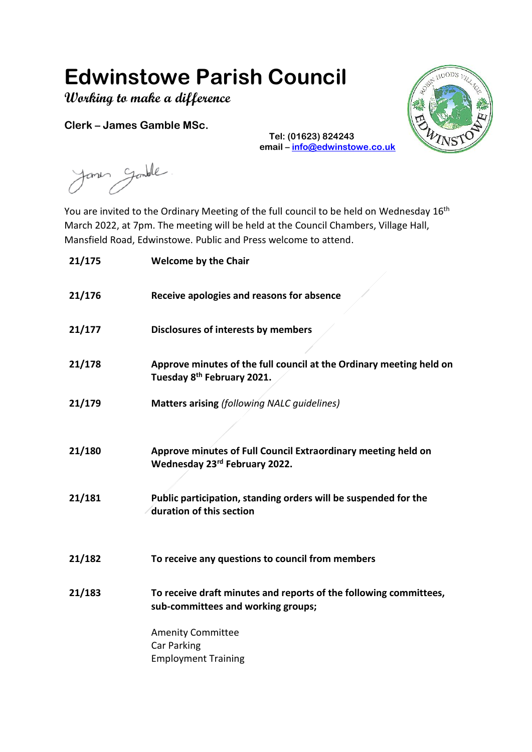# **Edwinstowe Parish Council**

**Working to make a difference**

**Clerk – James Gamble MSc.**



**Tel: (01623) 824243 email – [info@edwinstowe.co.uk](mailto:info@edwinstowe.co.uk)**

Janen Ganble

You are invited to the Ordinary Meeting of the full council to be held on Wednesday 16<sup>th</sup> March 2022, at 7pm. The meeting will be held at the Council Chambers, Village Hall, Mansfield Road, Edwinstowe. Public and Press welcome to attend.

| 21/175 | <b>Welcome by the Chair</b>                                                                                   |
|--------|---------------------------------------------------------------------------------------------------------------|
| 21/176 | Receive apologies and reasons for absence                                                                     |
| 21/177 | Disclosures of interests by members                                                                           |
| 21/178 | Approve minutes of the full council at the Ordinary meeting held on<br>Tuesday 8 <sup>th</sup> February 2021. |
| 21/179 | Matters arising (following NALC guidelines)                                                                   |
|        |                                                                                                               |
| 21/180 | Approve minutes of Full Council Extraordinary meeting held on<br>Wednesday 23rd February 2022.                |
| 21/181 | Public participation, standing orders will be suspended for the<br>duration of this section                   |
| 21/182 | To receive any questions to council from members                                                              |
| 21/183 | To receive draft minutes and reports of the following committees,<br>sub-committees and working groups;       |
|        | <b>Amenity Committee</b>                                                                                      |
|        | Car Parking                                                                                                   |
|        | <b>Employment Training</b>                                                                                    |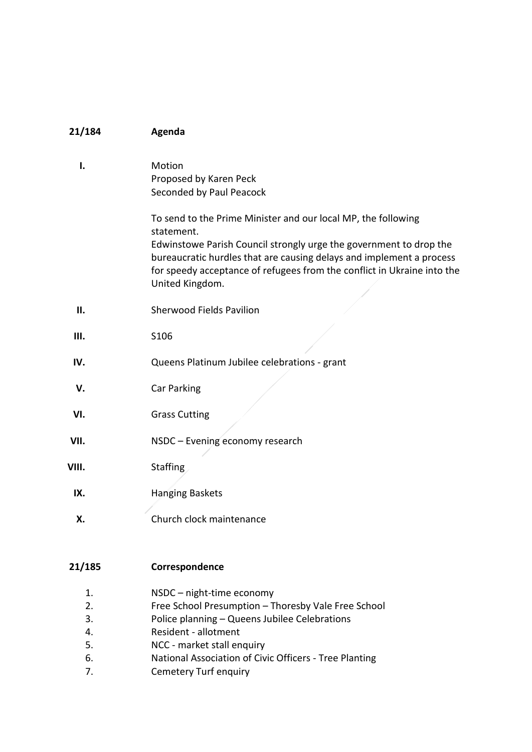| 21/184 | Agenda |
|--------|--------|
|--------|--------|

| I.    | Motion                                                                                                                                     |
|-------|--------------------------------------------------------------------------------------------------------------------------------------------|
|       | Proposed by Karen Peck                                                                                                                     |
|       | Seconded by Paul Peacock                                                                                                                   |
|       | To send to the Prime Minister and our local MP, the following<br>statement.                                                                |
|       | Edwinstowe Parish Council strongly urge the government to drop the<br>bureaucratic hurdles that are causing delays and implement a process |
|       | for speedy acceptance of refugees from the conflict in Ukraine into the<br>United Kingdom.                                                 |
| П.    | <b>Sherwood Fields Pavilion</b>                                                                                                            |
| Ш.    | S106                                                                                                                                       |
| IV.   | Queens Platinum Jubilee celebrations - grant                                                                                               |
| V.    | Car Parking                                                                                                                                |
| VI.   | <b>Grass Cutting</b>                                                                                                                       |
| VII.  | NSDC - Evening economy research                                                                                                            |
| VIII. | <b>Staffing</b>                                                                                                                            |
| IX.   | <b>Hanging Baskets</b>                                                                                                                     |
| Χ.    | Church clock maintenance                                                                                                                   |
|       |                                                                                                                                            |

#### **21/185 Correspondence**

- 1. NSDC night-time economy
- 2. Free School Presumption Thoresby Vale Free School
- 3. Police planning Queens Jubilee Celebrations
- 4. Resident allotment
- 5. NCC market stall enquiry
- 6. National Association of Civic Officers Tree Planting
- 7. Cemetery Turf enquiry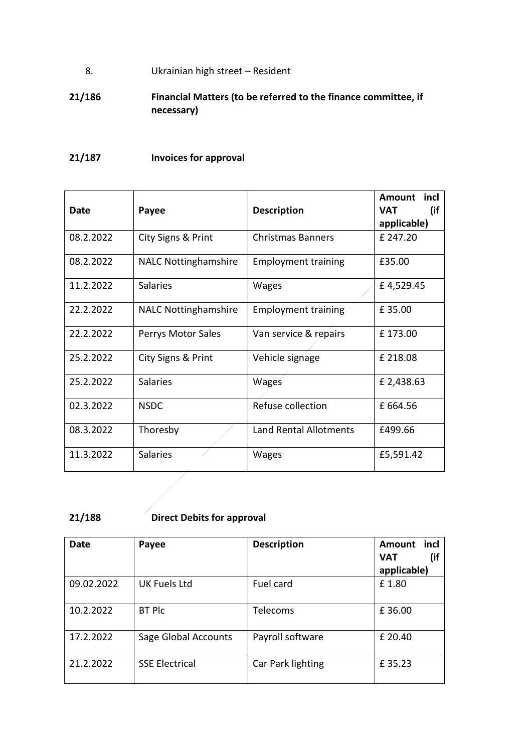#### 8. Ukrainian high street – Resident

#### **21/186 Financial Matters (to be referred to the finance committee, if necessary)**

#### **21/187 Invoices for approval**

| Date      | Payee                       | <b>Description</b>            | incl<br>Amount<br>(if<br><b>VAT</b><br>applicable) |
|-----------|-----------------------------|-------------------------------|----------------------------------------------------|
| 08.2.2022 | City Signs & Print          | <b>Christmas Banners</b>      | £ 247.20                                           |
| 08.2.2022 | <b>NALC Nottinghamshire</b> | <b>Employment training</b>    | £35.00                                             |
| 11.2.2022 | <b>Salaries</b>             | <b>Wages</b>                  | £4,529.45                                          |
| 22.2.2022 | <b>NALC Nottinghamshire</b> | <b>Employment training</b>    | £35.00                                             |
| 22.2.2022 | Perrys Motor Sales          | Van service & repairs         | £173.00                                            |
| 25.2.2022 | City Signs & Print          | Vehicle signage               | £ 218.08                                           |
| 25.2.2022 | <b>Salaries</b>             | Wages                         | £ 2,438.63                                         |
| 02.3.2022 | <b>NSDC</b>                 | Refuse collection             | £664.56                                            |
| 08.3.2022 | Thoresby                    | <b>Land Rental Allotments</b> | £499.66                                            |
| 11.3.2022 | <b>Salaries</b>             | <b>Wages</b>                  | £5,591.42                                          |

### **21/188 Direct Debits for approval**

| Date       | Payee                 | <b>Description</b> | Amount<br>incl<br>(if<br><b>VAT</b> |
|------------|-----------------------|--------------------|-------------------------------------|
|            |                       |                    | applicable)                         |
| 09.02.2022 | <b>UK Fuels Ltd</b>   | Fuel card          | £1.80                               |
| 10.2.2022  | <b>BT Plc</b>         | Telecoms           | £36.00                              |
| 17.2.2022  | Sage Global Accounts  | Payroll software   | £ 20.40                             |
| 21.2.2022  | <b>SSE Electrical</b> | Car Park lighting  | £35.23                              |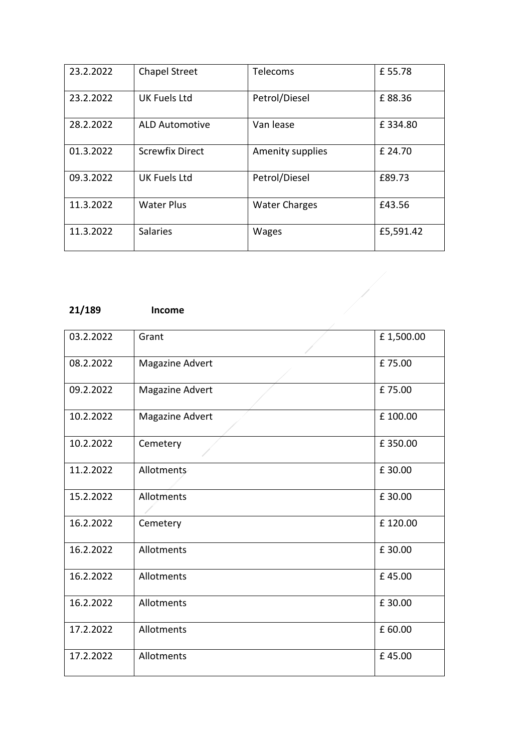| 23.2.2022 | <b>Chapel Street</b>   | Telecoms             | £55.78    |
|-----------|------------------------|----------------------|-----------|
| 23.2.2022 | <b>UK Fuels Ltd</b>    | Petrol/Diesel        | £88.36    |
| 28.2.2022 | <b>ALD Automotive</b>  | Van lease            | £334.80   |
| 01.3.2022 | <b>Screwfix Direct</b> | Amenity supplies     | £ 24.70   |
| 09.3.2022 | <b>UK Fuels Ltd</b>    | Petrol/Diesel        | £89.73    |
| 11.3.2022 | <b>Water Plus</b>      | <b>Water Charges</b> | £43.56    |
| 11.3.2022 | <b>Salaries</b>        | <b>Wages</b>         | £5,591.42 |

 $\frac{1}{\sqrt{2}}$ 

#### **21/189 Income**

| 03.2.2022 | Grant           | £1,500.00 |
|-----------|-----------------|-----------|
| 08.2.2022 | Magazine Advert | £75.00    |
| 09.2.2022 | Magazine Advert | £75.00    |
| 10.2.2022 | Magazine Advert | £ 100.00  |
| 10.2.2022 | Cemetery        | £350.00   |
| 11.2.2022 | Allotments      | £30.00    |
| 15.2.2022 | Allotments      | £30.00    |
| 16.2.2022 | Cemetery        | £120.00   |
| 16.2.2022 | Allotments      | £30.00    |
| 16.2.2022 | Allotments      | £45.00    |
| 16.2.2022 | Allotments      | £30.00    |
| 17.2.2022 | Allotments      | £ 60.00   |
| 17.2.2022 | Allotments      | £45.00    |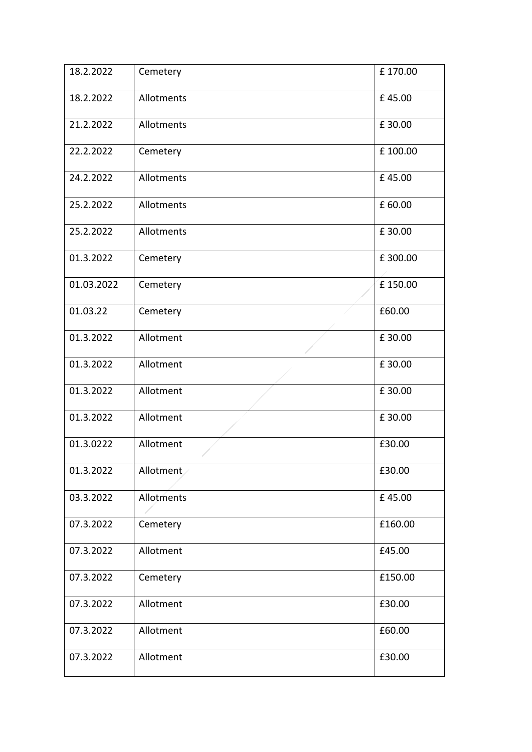| 18.2.2022  | Cemetery   | £170.00 |
|------------|------------|---------|
| 18.2.2022  | Allotments | £45.00  |
| 21.2.2022  | Allotments | £ 30.00 |
| 22.2.2022  | Cemetery   | £100.00 |
| 24.2.2022  | Allotments | £45.00  |
| 25.2.2022  | Allotments | £ 60.00 |
| 25.2.2022  | Allotments | £ 30.00 |
| 01.3.2022  | Cemetery   | £300.00 |
| 01.03.2022 | Cemetery   | £150.00 |
| 01.03.22   | Cemetery   | £60.00  |
| 01.3.2022  | Allotment  | £30.00  |
| 01.3.2022  | Allotment  | £30.00  |
| 01.3.2022  | Allotment  | £30.00  |
| 01.3.2022  | Allotment  | £30.00  |
| 01.3.0222  | Allotment  | £30.00  |
| 01.3.2022  | Allotment  | £30.00  |
| 03.3.2022  | Allotments | £45.00  |
| 07.3.2022  | Cemetery   | £160.00 |
| 07.3.2022  | Allotment  | £45.00  |
| 07.3.2022  | Cemetery   | £150.00 |
| 07.3.2022  | Allotment  | £30.00  |
| 07.3.2022  | Allotment  | £60.00  |
| 07.3.2022  | Allotment  | £30.00  |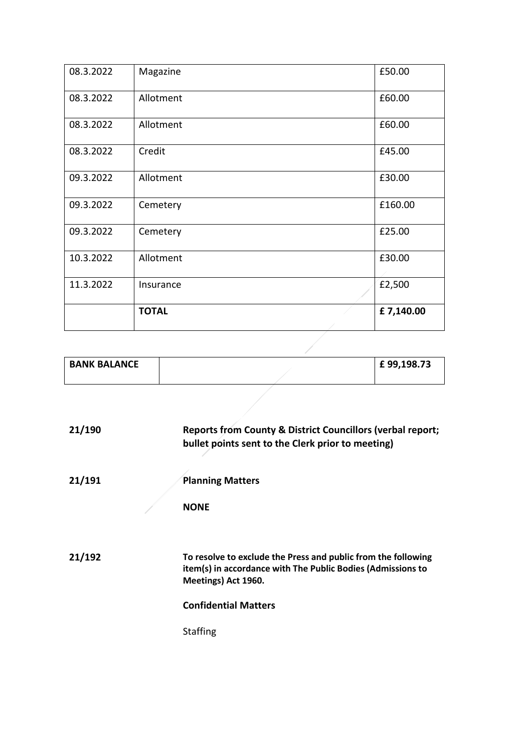| 08.3.2022 | Magazine     | £50.00    |
|-----------|--------------|-----------|
| 08.3.2022 | Allotment    | £60.00    |
| 08.3.2022 | Allotment    | £60.00    |
| 08.3.2022 | Credit       | £45.00    |
| 09.3.2022 | Allotment    | £30.00    |
| 09.3.2022 | Cemetery     | £160.00   |
| 09.3.2022 | Cemetery     | £25.00    |
| 10.3.2022 | Allotment    | £30.00    |
| 11.3.2022 | Insurance    | £2,500    |
|           | <b>TOTAL</b> | £7,140.00 |

| <b>BANK BALANCE</b> | $E$ 99,198.73 |
|---------------------|---------------|

| 21/190 | <b>Reports from County &amp; District Councillors (verbal report;</b><br>bullet points sent to the Clerk prior to meeting)                          |
|--------|-----------------------------------------------------------------------------------------------------------------------------------------------------|
| 21/191 | <b>Planning Matters</b>                                                                                                                             |
|        | <b>NONE</b>                                                                                                                                         |
|        |                                                                                                                                                     |
| 21/192 | To resolve to exclude the Press and public from the following<br>item(s) in accordance with The Public Bodies (Admissions to<br>Meetings) Act 1960. |
|        | <b>Confidential Matters</b>                                                                                                                         |
|        | <b>Staffing</b>                                                                                                                                     |